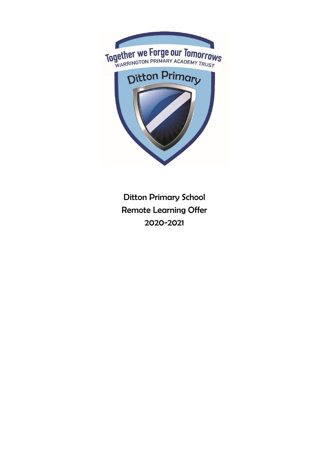

Ditton Primary School Remote Learning Offer 2020-2021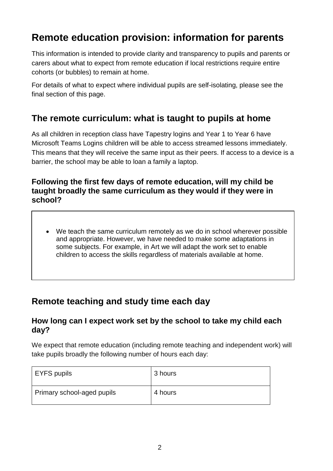# **Remote education provision: information for parents**

This information is intended to provide clarity and transparency to pupils and parents or carers about what to expect from remote education if local restrictions require entire cohorts (or bubbles) to remain at home.

For details of what to expect where individual pupils are self-isolating, please see the final section of this page.

## **The remote curriculum: what is taught to pupils at home**

As all children in reception class have Tapestry logins and Year 1 to Year 6 have Microsoft Teams Logins children will be able to access streamed lessons immediately. This means that they will receive the same input as their peers. If access to a device is a barrier, the school may be able to loan a family a laptop.

#### **Following the first few days of remote education, will my child be taught broadly the same curriculum as they would if they were in school?**

 We teach the same curriculum remotely as we do in school wherever possible and appropriate. However, we have needed to make some adaptations in some subjects. For example, in Art we will adapt the work set to enable children to access the skills regardless of materials available at home.

## **Remote teaching and study time each day**

### **How long can I expect work set by the school to take my child each day?**

We expect that remote education (including remote teaching and independent work) will take pupils broadly the following number of hours each day:

| $\mid$ EYFS pupils         | 3 hours |
|----------------------------|---------|
| Primary school-aged pupils | 4 hours |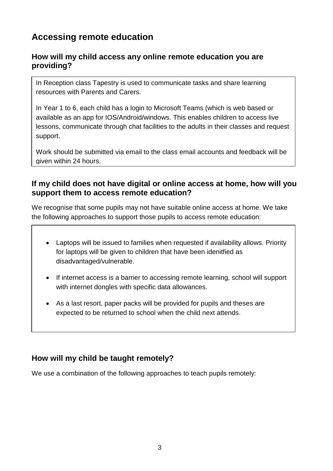## **Accessing remote education**

### **How will my child access any online remote education you are providing?**

In Reception class Tapestry is used to communicate tasks and share learning resources with Parents and Carers.

In Year 1 to 6, each child has a login to Microsoft Teams (which is web based or available as an app for IOS/Android/windows. This enables children to access live lessons, communicate through chat facilities to the adults in their classes and request support.

Work should be submitted via email to the class email accounts and feedback will be given within 24 hours.

### **If my child does not have digital or online access at home, how will you support them to access remote education?**

We recognise that some pupils may not have suitable online access at home. We take the following approaches to support those pupils to access remote education:

- Laptops will be issued to families when requested if availability allows. Priority for laptops will be given to children that have been idenitfied as disadvantaged/vulnerable.
- If internet access is a barrier to accessing remote learning, school will support with internet dongles with specific data allowances.
- As a last resort, paper packs will be provided for pupils and theses are expected to be returned to school when the child next attends.

### **How will my child be taught remotely?**

We use a combination of the following approaches to teach pupils remotely: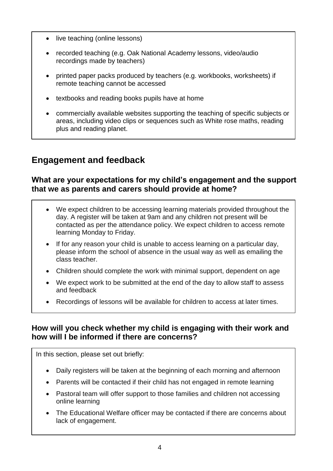- live teaching (online lessons)
- recorded teaching (e.g. Oak National Academy lessons, video/audio recordings made by teachers)
- printed paper packs produced by teachers (e.g. workbooks, worksheets) if remote teaching cannot be accessed
- textbooks and reading books pupils have at home
- commercially available websites supporting the teaching of specific subjects or areas, including video clips or sequences such as White rose maths, reading plus and reading planet.

## **Engagement and feedback**

### **What are your expectations for my child's engagement and the support that we as parents and carers should provide at home?**

- We expect children to be accessing learning materials provided throughout the day. A register will be taken at 9am and any children not present will be contacted as per the attendance policy. We expect children to access remote learning Monday to Friday.
- If for any reason your child is unable to access learning on a particular day, please inform the school of absence in the usual way as well as emailing the class teacher.
- Children should complete the work with minimal support, dependent on age
- We expect work to be submitted at the end of the day to allow staff to assess and feedback
- Recordings of lessons will be available for children to access at later times.

### **How will you check whether my child is engaging with their work and how will I be informed if there are concerns?**

In this section, please set out briefly:

- Daily registers will be taken at the beginning of each morning and afternoon
- Parents will be contacted if their child has not engaged in remote learning
- Pastoral team will offer support to those families and children not accessing online learning
- The Educational Welfare officer may be contacted if there are concerns about lack of engagement.